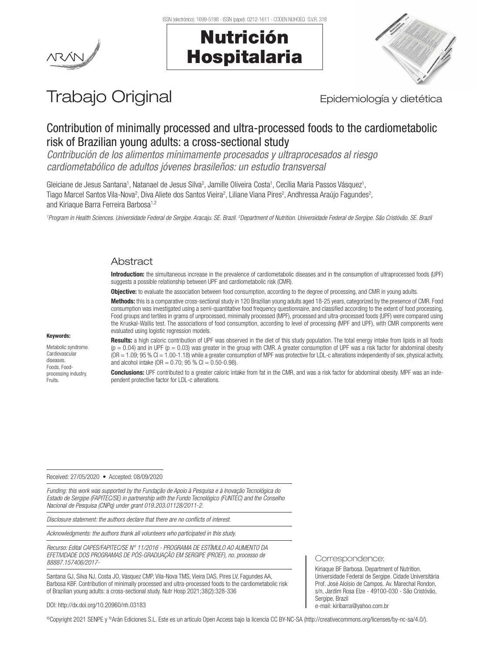

# Nutrición Hospitalaria



# Trabajo Original **Epidemiología y dietética**

# Contribution of minimally processed and ultra-processed foods to the cardiometabolic risk of Brazilian young adults: a cross-sectional study

*Contribución de los alimentos mínimamente procesados y ultraprocesados al riesgo cardiometabólico de adultos jóvenes brasileños: un estudio transversal*

Gleiciane de Jesus Santana<sup>1</sup>, Natanael de Jesus Silva<sup>2</sup>, Jamille Oliveira Costa<sup>1</sup>, Cecília Maria Passos Vásquez<sup>1</sup>, Tiago Marcel Santos Vila-Nova<sup>2</sup>, Diva Aliete dos Santos Vieira<sup>2</sup>, Liliane Viana Pires<sup>2</sup>, Andhressa Araújo Fagundes<sup>2</sup>, and Kiriaque Barra Ferreira Barbosa<sup>1,2</sup>

<sup>1</sup> Program in Health Sciences. Universidade Federal de Sergipe. Aracaju. SE. Brazil. <sup>2</sup>Department of Nutrition. Universidade Federal de Sergipe. São Cristóvão. SE. Brazi

## Abstract

Introduction: the simultaneous increase in the prevalence of cardiometabolic diseases and in the consumption of ultraprocessed foods (UPF) suggests a possible relationship between UPF and cardiometabolic risk (CMR).

**Objective:** to evaluate the association between food consumption, according to the degree of processing, and CMR in young adults.

Methods: this is a comparative cross-sectional study in 120 Brazilian young adults aged 18-25 years, categorized by the presence of CMR. Food consumption was investigated using a semi-quantitative food frequency questionnaire, and classified according to the extent of food processing. Food groups and tertiles in grams of unprocessed, minimally processed (MPF), processed and ultra-processed foods (UPF) were compared using the Kruskal-Wallis test. The associations of food consumption, according to level of processing (MPF and UPF), with CMR components were evaluated using logistic regression models.

#### Keywords:

Metabolic syndrome. **Cardiovascular** diseases. Foods. Foodprocessing industry. **Fruits** 

Results: a high caloric contribution of UPF was observed in the diet of this study population. The total energy intake from lipids in all foods  $(p = 0.04)$  and in UPF ( $p = 0.03$ ) was greater in the group with CMR. A greater consumption of UPF was a risk factor for abdominal obesity (OR = 1.09; 95 % CI = 1.00-1.18) while a greater consumption of MPF was protective for LDL-c alterations independently of sex, physical activity, and alcohol intake (OR =  $0.70$ ; 95 % Cl =  $0.50 - 0.98$ ).

Conclusions: UPF contributed to a greater caloric intake from fat in the CMR, and was a risk factor for abdominal obesity. MPF was an independent protective factor for LDL-c alterations.

Received: 27/05/2020 • Accepted: 08/09/2020

*Funding: this work was supported by the Fundação de Apoio à Pesquisa e à Inovação Tecnológica do Estado de Sergipe (FAPITEC/SE) in partnership with the Fundo Tecnológico (FUNTEC) and the Conselho Nacional de Pesquisa (CNPq) under grant 019.203.01128/2011-2.* 

*Disclosure statement: the authors declare that there are no conflicts of interest.*

*Acknowledgments: the authors thank all volunteers who participated in this study.*

*Recurso: Edital CAPES/FAPITEC/SE N° 11/2016 - PROGRAMA DE ESTÍMULO AO AUMENTO DA EFETIVIDADE DOS PROGRAMAS DE PÓS-GRADUAÇÃO EM SERGIPE (PROEF), no. processo de 88887.157406/2017-*

Santana GJ, Silva NJ, Costa JO, Vásquez CMP, Vila-Nova TMS, Vieira DAS, Pires LV, Fagundes AA, Barbosa KBF. Contribution of minimally processed and ultra-processed foods to the cardiometabolic risk of Brazilian young adults: a cross-sectional study. Nutr Hosp 2021;38(2):328-336

#### DOI: http://dx.doi.org/10.20960/nh.03183

©Copyright 2021 SENPE y ©Arán Ediciones S.L. Este es un artículo Open Access bajo la licencia CC BY-NC-SA (http://creativecommons.org/licenses/by-nc-sa/4.0/).

Correspondence:

Kiriaque BF Barbosa. Department of Nutrition. Universidade Federal de Sergipe. Cidade Universitária Prof. José Aloísio de Campos. Av. Marechal Rondon, s/n, Jardim Rosa Elze - 49100-030 - São Cristóvão, Sergipe, Brazil e-mail: kiribarra@yahoo.com.br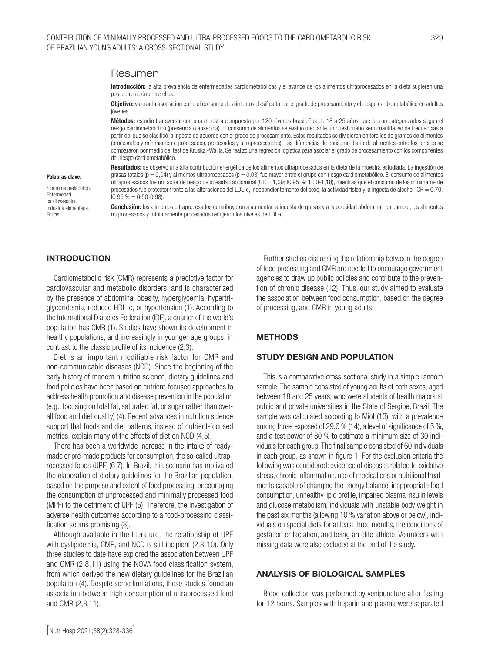#### Resumen

Introducción: la alta prevalencia de enfermedades cardiometabólicas y el avance de los alimentos ultraprocesados en la dieta sugieren una posible relación entre ellos.

**Objetivo:** valorar la asociación entre el consumo de alimentos clasificado por el grado de procesamiento y el riesgo cardiometabólico en adultos ióvenes

Métodos: estudio transversal con una muestra compuesta por 120 jóvenes brasileños de 18 a 25 años, que fueron categorizados según el riesgo cardiometabólico (presencia o ausencia). El consumo de alimentos se evaluó mediante un cuestionario semicuantitativo de frecuencias a partir del que se clasificó la ingesta de acuerdo con el grado de procesamiento. Estos resultados se dividieron en terciles de gramos de alimentos (procesados y mínimamente procesados, procesados y ultraprocessados). Las diferencias de consumo diario de alimentos entre los terciles se compararon por medio del test de Kruskal-Wallis. Se realizó una regresión logística para asociar el grado de procesamiento con los componentes del riesgo cardiometabólico.

#### Palabras clave:

Síndrome metabólico. Enfermedad cardiovascular. Industria alimentaria. **Frutas** 

Resultados: se observó una alta contribución energética de los alimentos ultraprocesados en la dieta de la muestra estudiada. La ingestión de grasas totales ( $p = 0.04$ ) y alimentos ultraprocesados ( $p = 0.03$ ) fue mayor entre el grupo con riesgo cardiometabólico. El consumo de alimentos ultraprocesados fue un factor de riesgo de obesidad abdominal (OR = 1,09; IC 95 %: 1,00-1,18), mientras que el consumo de los mínimamente procesados fue protector frente a las alteraciones del LDL-c, independientemente del sexo, la actividad física y la ingesta de alcohol (OR = 0,70; IC  $95\% = 0.50 - 0.98$ ).

Conclusión: los alimentos ultraprocesados contribuyeron a aumentar la ingesta de grasas y a la obesidad abdominal; en cambio, los alimentos no procesados y mínimamente procesados redujeron los niveles de LDL-c.

#### **INTRODUCTION**

Cardiometabolic risk (CMR) represents a predictive factor for cardiovascular and metabolic disorders, and is characterized by the presence of abdominal obesity, hyperglycemia, hypertriglyceridemia, reduced HDL-c, or hypertension (1). According to the International Diabetes Federation (IDF), a quarter of the world's population has CMR (1). Studies have shown its development in healthy populations, and increasingly in younger age groups, in contrast to the classic profile of its incidence (2,3).

Diet is an important modifiable risk factor for CMR and non-communicable diseases (NCD). Since the beginning of the early history of modern nutrition science, dietary guidelines and food policies have been based on nutrient-focused approaches to address health promotion and disease prevention in the population (e.g., focusing on total fat, saturated fat, or sugar rather than overall food and diet quality) (4). Recent advances in nutrition science support that foods and diet patterns, instead of nutrient-focused metrics, explain many of the effects of diet on NCD (4,5).

There has been a worldwide increase in the intake of readymade or pre-made products for consumption, the so-called ultraprocessed foods (UPF) (6,7). In Brazil, this scenario has motivated the elaboration of dietary guidelines for the Brazilian population, based on the purpose and extent of food processing, encouraging the consumption of unprocessed and minimally processed food (MPF) to the detriment of UPF (5). Therefore, the investigation of adverse health outcomes according to a food-processing classification seems promising (8).

Although available in the literature, the relationship of UPF with dyslipidemia, CMR, and NCD is still incipient (2,8-10). Only three studies to date have explored the association between UPF and CMR (2,8,11) using the NOVA food classification system, from which derived the new dietary guidelines for the Brazilian population (4). Despite some limitations, these studies found an association between high consumption of ultraprocessed food and CMR (2,8,11).

Further studies discussing the relationship between the degree of food processing and CMR are needed to encourage government agencies to draw up public policies and contribute to the prevention of chronic disease (12). Thus, our study aimed to evaluate the association between food consumption, based on the degree of processing, and CMR in young adults.

#### METHODS

#### STUDY DESIGN AND POPULATION

This is a comparative cross-sectional study in a simple random sample. The sample consisted of young adults of both sexes, aged between 18 and 25 years, who were students of health majors at public and private universities in the State of Sergipe, Brazil. The sample was calculated according to Miot (13), with a prevalence among those exposed of 29.6 % (14), a level of significance of 5 %, and a test power of 80 % to estimate a minimum size of 30 individuals for each group. The final sample consisted of 60 individuals in each group, as shown in figure 1. For the exclusion criteria the following was considered: evidence of diseases related to oxidative stress, chronic inflammation, use of medications or nutritional treatments capable of changing the energy balance, inappropriate food consumption, unhealthy lipid profile, impaired plasma insulin levels and glucose metabolism, individuals with unstable body weight in the past six months (allowing 10 % variation above or below), individuals on special diets for at least three months, the conditions of gestation or lactation, and being an elite athlete. Volunteers with missing data were also excluded at the end of the study.

#### ANALYSIS OF BIOLOGICAL SAMPLES

Blood collection was performed by venipuncture after fasting for 12 hours. Samples with heparin and plasma were separated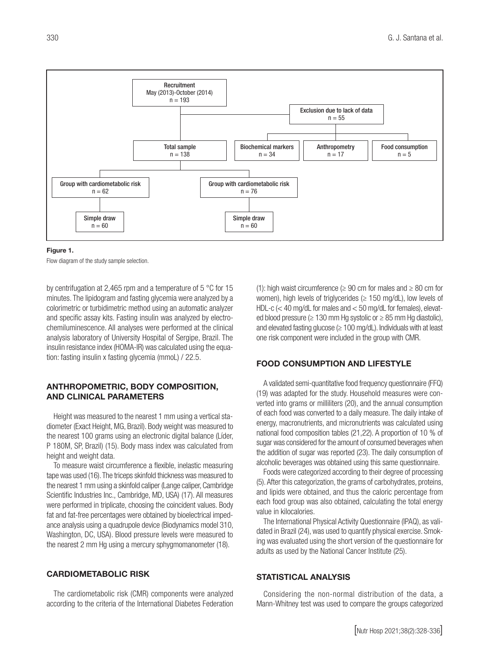

Figure 1.

Flow diagram of the study sample selection.

by centrifugation at 2,465 rpm and a temperature of 5 °C for 15 minutes. The lipidogram and fasting glycemia were analyzed by a colorimetric or turbidimetric method using an automatic analyzer and specific assay kits. Fasting insulin was analyzed by electrochemiluminescence. All analyses were performed at the clinical analysis laboratory of University Hospital of Sergipe, Brazil. The insulin resistance index (HOMA-IR) was calculated using the equation: fasting insulin x fasting glycemia (mmoL) / 22.5.

#### ANTHROPOMETRIC, BODY COMPOSITION, AND CLINICAL PARAMETERS

Height was measured to the nearest 1 mm using a vertical stadiometer (Exact Height, MG, Brazil). Body weight was measured to the nearest 100 grams using an electronic digital balance (Líder, P 180M, SP, Brazil) (15). Body mass index was calculated from height and weight data.

To measure waist circumference a flexible, inelastic measuring tape was used (16). The triceps skinfold thickness was measured to the nearest 1 mm using a skinfold caliper (Lange caliper, Cambridge Scientific Industries Inc., Cambridge, MD, USA) (17). All measures were performed in triplicate, choosing the coincident values. Body fat and fat-free percentages were obtained by bioelectrical impedance analysis using a quadrupole device (Biodynamics model 310, Washington, DC, USA). Blood pressure levels were measured to the nearest 2 mm Hg using a mercury sphygmomanometer (18).

### CARDIOMETABOLIC RISK

The cardiometabolic risk (CMR) components were analyzed according to the criteria of the International Diabetes Federation (1): high waist circumference ( $\geq 90$  cm for males and  $\geq 80$  cm for women), high levels of triglycerides (≥ 150 mg/dL), low levels of HDL-c (< 40 mg/dL for males and < 50 mg/dL for females), elevated blood pressure (≥ 130 mm Hg systolic or ≥ 85 mm Hg diastolic), and elevated fasting glucose ( $\geq 100$  mg/dL). Individuals with at least one risk component were included in the group with CMR.

#### FOOD CONSUMPTION AND LIFESTYLE

A validated semi-quantitative food frequency questionnaire (FFQ) (19) was adapted for the study. Household measures were converted into grams or milliliters (20), and the annual consumption of each food was converted to a daily measure. The daily intake of energy, macronutrients, and micronutrients was calculated using national food composition tables (21,22). A proportion of 10 % of sugar was considered for the amount of consumed beverages when the addition of sugar was reported (23). The daily consumption of alcoholic beverages was obtained using this same questionnaire.

Foods were categorized according to their degree of processing (5). After this categorization, the grams of carbohydrates, proteins, and lipids were obtained, and thus the caloric percentage from each food group was also obtained, calculating the total energy value in kilocalories.

The International Physical Activity Questionnaire (IPAQ), as validated in Brazil (24), was used to quantify physical exercise. Smoking was evaluated using the short version of the questionnaire for adults as used by the National Cancer Institute (25).

#### STATISTICAL ANALYSIS

Considering the non-normal distribution of the data, a Mann-Whitney test was used to compare the groups categorized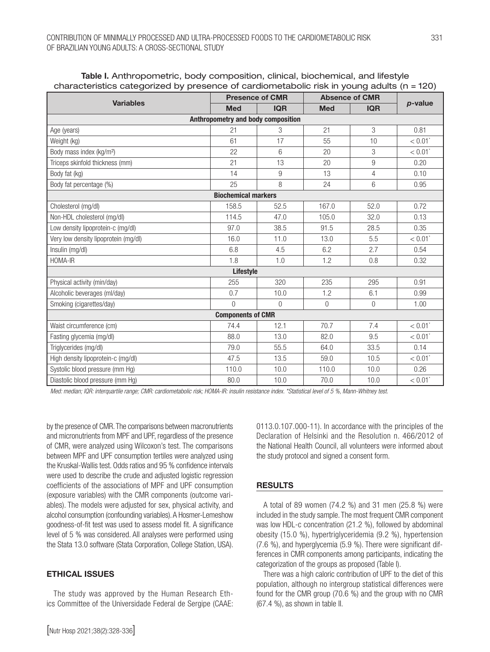|                                      |                                    | <b>Presence of CMR</b> |            | <b>Absence of CMR</b> |                       |
|--------------------------------------|------------------------------------|------------------------|------------|-----------------------|-----------------------|
| <b>Variables</b>                     | <b>Med</b>                         | <b>IQR</b>             | <b>Med</b> | <b>IQR</b>            | p-value               |
|                                      | Anthropometry and body composition |                        |            |                       |                       |
| Age (years)                          | 21                                 | 3                      | 21         | 3                     | 0.81                  |
| Weight (kg)                          | 61                                 | 17                     | 55         | 10                    | $< 0.01$ <sup>*</sup> |
| Body mass index (kg/m <sup>2</sup> ) | 22                                 | 6                      | 20         | 3                     | $< 0.01$ <sup>*</sup> |
| Triceps skinfold thickness (mm)      | 21                                 | 13                     | 20         | $9\,$                 | 0.20                  |
| Body fat (kg)                        | 14                                 | 9                      | 13         | $\overline{4}$        | 0.10                  |
| Body fat percentage (%)              | 25                                 | 8                      | 24         | 6                     | 0.95                  |
|                                      | <b>Biochemical markers</b>         |                        |            |                       |                       |
| Cholesterol (mg/dl)                  | 158.5                              | 52.5                   | 167.0      | 52.0                  | 0.72                  |
| Non-HDL cholesterol (mg/dl)          | 114.5                              | 47.0                   | 105.0      | 32.0                  | 0.13                  |
| Low density lipoprotein-c (mg/dl)    | 97.0                               | 38.5                   | 91.5       | 28.5                  | 0.35                  |
| Very low density lipoprotein (mg/dl) | 16.0                               | 11.0                   | 13.0       | 5.5                   | $< 0.01$ <sup>*</sup> |
| Insulin (mg/dl)                      | 6.8                                | 4.5                    | 6.2        | 2.7                   | 0.54                  |
| HOMA-IR                              | 1.8                                | 1.0                    | 1.2        | 0.8                   | 0.32                  |
|                                      | Lifestyle                          |                        |            |                       |                       |
| Physical activity (min/day)          | 255                                | 320                    | 235        | 295                   | 0.91                  |
| Alcoholic beverages (ml/day)         | 0.7                                | 10.0                   | 1.2        | 6.1                   | 0.99                  |
| Smoking (cigarettes/day)             | $\Omega$                           | $\overline{0}$         | $\Omega$   | $\boldsymbol{0}$      | 1.00                  |
|                                      | <b>Components of CMR</b>           |                        |            |                       |                       |
| Waist circumference (cm)             | 74.4                               | 12.1                   | 70.7       | 7.4                   | $< 0.01$ <sup>*</sup> |
| Fasting glycemia (mg/dl)             | 88.0                               | 13.0                   | 82.0       | 9.5                   | $< 0.01$ <sup>*</sup> |
| Triglycerides (mg/dl)                | 79.0                               | 55.5                   | 64.0       | 33.5                  | 0.14                  |
| High density lipoprotein-c (mg/dl)   | 47.5                               | 13.5                   | 59.0       | 10.5                  | $< 0.01$ <sup>*</sup> |
| Systolic blood pressure (mm Hg)      | 110.0                              | 10.0                   | 110.0      | 10.0                  | 0.26                  |
| Diastolic blood pressure (mm Hg)     | 80.0                               | 10.0                   | 70.0       | 10.0                  | $< 0.01$ <sup>*</sup> |

#### Table I. Anthropometric, body composition, clinical, biochemical, and lifestyle characteristics categorized by presence of cardiometabolic risk in young adults (n = 120)

*Med: median; IQR: interquartile range; CMR: cardiometabolic risk; HOMA-IR: insulin resistance index. \*Statistical level of 5 %, Mann-Whitney test.*

by the presence of CMR. The comparisons between macronutrients and micronutrients from MPF and UPF, regardless of the presence of CMR, were analyzed using Wilcoxon's test. The comparisons between MPF and UPF consumption tertiles were analyzed using the Kruskal-Wallis test. Odds ratios and 95 % confidence intervals were used to describe the crude and adjusted logistic regression coefficients of the associations of MPF and UPF consumption (exposure variables) with the CMR components (outcome variables). The models were adjusted for sex, physical activity, and alcohol consumption (confounding variables). A Hosmer-Lemeshow goodness-of-fit test was used to assess model fit. A significance level of 5 % was considered. All analyses were performed using the Stata 13.0 software (Stata Corporation, College Station, USA).

#### ETHICAL ISSUES

The study was approved by the Human Research Ethics Committee of the Universidade Federal de Sergipe (CAAE: 0113.0.107.000-11). In accordance with the principles of the Declaration of Helsinki and the Resolution n. 466/2012 of the National Health Council, all volunteers were informed about the study protocol and signed a consent form.

#### RESULTS

A total of 89 women (74.2 %) and 31 men (25.8 %) were included in the study sample. The most frequent CMR component was low HDL-c concentration (21.2 %), followed by abdominal obesity (15.0 %), hypertriglyceridemia (9.2 %), hypertension (7.6 %), and hyperglycemia (5.9 %). There were significant differences in CMR components among participants, indicating the categorization of the groups as proposed (Table I).

There was a high caloric contribution of UPF to the diet of this population, although no intergroup statistical differences were found for the CMR group (70.6 %) and the group with no CMR (67.4 %), as shown in table II.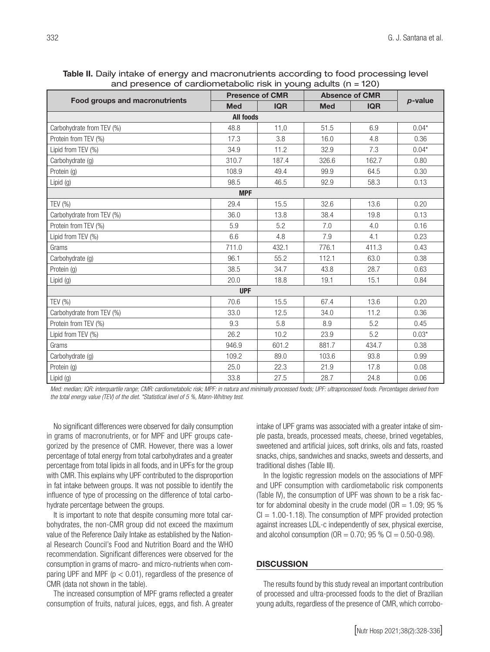| Table II. Daily intake of energy and macronutrients according to food processing level |  |
|----------------------------------------------------------------------------------------|--|
| and presence of cardiometabolic risk in young adults ( $n = 120$ )                     |  |

|                                       |                  | <b>Presence of CMR</b> |            | <b>Absence of CMR</b> |         |
|---------------------------------------|------------------|------------------------|------------|-----------------------|---------|
| <b>Food groups and macronutrients</b> | <b>Med</b>       | <b>IQR</b>             | <b>Med</b> | <b>IQR</b>            | p-value |
|                                       | <b>All foods</b> |                        |            |                       |         |
| Carbohydrate from TEV (%)             | 48.8             | 11,0                   | 51.5       | 6.9                   | $0.04*$ |
| Protein from TEV (%)                  | 17.3             | 3.8                    | 16.0       | 4.8                   | 0.36    |
| Lipid from TEV (%)                    | 34.9             | 11.2                   | 32.9       | 7.3                   | $0.04*$ |
| Carbohydrate (g)                      | 310.7            | 187.4                  | 326.6      | 162.7                 | 0.80    |
| Protein (g)                           | 108.9            | 49.4                   | 99.9       | 64.5                  | 0.30    |
| Lipid (g)                             | 98.5             | 46.5                   | 92.9       | 58.3                  | 0.13    |
|                                       | <b>MPF</b>       |                        |            |                       |         |
| TEV (%)                               | 29.4             | 15.5                   | 32.6       | 13.6                  | 0.20    |
| Carbohydrate from TEV (%)             | 36.0             | 13.8                   | 38.4       | 19.8                  | 0.13    |
| Protein from TEV (%)                  | 5.9              | 5.2                    | 7.0        | 4.0                   | 0.16    |
| Lipid from TEV (%)                    | 6.6              | 4.8                    | 7.9        | 4.1                   | 0.23    |
| Grams                                 | 711.0            | 432.1                  | 776.1      | 411.3                 | 0.43    |
| Carbohydrate (g)                      | 96.1             | 55.2                   | 112.1      | 63.0                  | 0.38    |
| Protein (g)                           | 38.5             | 34.7                   | 43.8       | 28.7                  | 0.63    |
| Lipid $(g)$                           | 20.0             | 18.8                   | 19.1       | 15.1                  | 0.84    |
|                                       | <b>UPF</b>       |                        |            |                       |         |
| TEV $(% )$                            | 70.6             | 15.5                   | 67.4       | 13.6                  | 0.20    |
| Carbohydrate from TEV (%)             | 33.0             | 12.5                   | 34.0       | 11.2                  | 0.36    |
| Protein from TEV (%)                  | 9.3              | 5.8                    | 8.9        | 5.2                   | 0.45    |
| Lipid from TEV (%)                    | 26.2             | 10.2                   | 23.9       | 5.2                   | $0.03*$ |
| Grams                                 | 946.9            | 601.2                  | 881.7      | 434.7                 | 0.38    |
| Carbohydrate (g)                      | 109.2            | 89.0                   | 103.6      | 93.8                  | 0.99    |
| Protein (g)                           | 25.0             | 22.3                   | 21.9       | 17.8                  | 0.08    |
| Lipid $(g)$                           | 33.8             | 27.5                   | 28.7       | 24.8                  | 0.06    |

*Med: median; IQR: interquartile range; CMR: cardiometabolic risk; MPF: in natura and minimally processed foods; UPF: ultraprocessed foods. Percentages derived from the total energy value (TEV) of the diet. \*Statistical level of 5 %, Mann-Whitney test.*

No significant differences were observed for daily consumption in grams of macronutrients, or for MPF and UPF groups categorized by the presence of CMR. However, there was a lower percentage of total energy from total carbohydrates and a greater percentage from total lipids in all foods, and in UPFs for the group with CMR. This explains why UPF contributed to the disproportion in fat intake between groups. It was not possible to identify the influence of type of processing on the difference of total carbohydrate percentage between the groups.

It is important to note that despite consuming more total carbohydrates, the non-CMR group did not exceed the maximum value of the Reference Daily Intake as established by the National Research Council's Food and Nutrition Board and the WHO recommendation. Significant differences were observed for the consumption in grams of macro- and micro-nutrients when comparing UPF and MPF ( $p < 0.01$ ), regardless of the presence of CMR (data not shown in the table).

The increased consumption of MPF grams reflected a greater consumption of fruits, natural juices, eggs, and fish. A greater intake of UPF grams was associated with a greater intake of simple pasta, breads, processed meats, cheese, brined vegetables, sweetened and artificial juices, soft drinks, oils and fats, roasted snacks, chips, sandwiches and snacks, sweets and desserts, and traditional dishes (Table III).

In the logistic regression models on the associations of MPF and UPF consumption with cardiometabolic risk components (Table IV), the consumption of UPF was shown to be a risk factor for abdominal obesity in the crude model ( $OR = 1.09$ ; 95 %)  $Cl = 1.00 - 1.18$ ). The consumption of MPF provided protection against increases LDL-c independently of sex, physical exercise, and alcohol consumption ( $OR = 0.70$ ; 95 % Cl = 0.50-0.98).

#### **DISCUSSION**

The results found by this study reveal an important contribution of processed and ultra-processed foods to the diet of Brazilian young adults, regardless of the presence of CMR, which corrobo-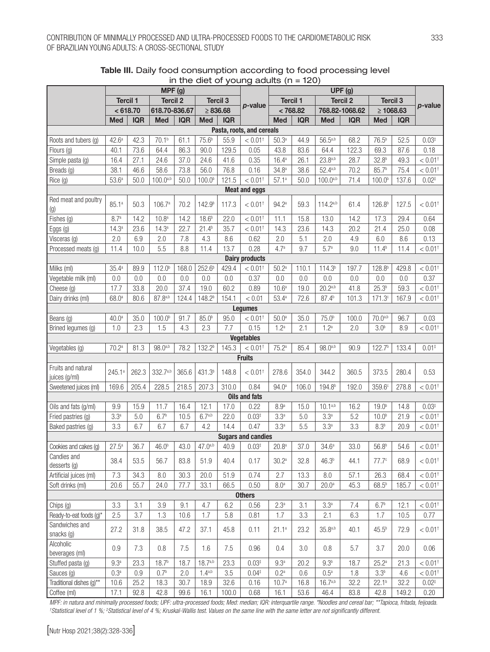|                                     |                   |            | MPF (g)            |            |                    |                 |                           |                   |            |                    | UPF (g)         |                    |            |                       |
|-------------------------------------|-------------------|------------|--------------------|------------|--------------------|-----------------|---------------------------|-------------------|------------|--------------------|-----------------|--------------------|------------|-----------------------|
|                                     | <b>Tercil 1</b>   |            | <b>Tercil 2</b>    |            |                    | <b>Tercil 3</b> |                           | <b>Tercil 1</b>   |            |                    | <b>Tercil 2</b> | <b>Tercil 3</b>    |            |                       |
|                                     |                   | < 618.70   | 618.70-836.67      |            |                    | $\geq 836.68$   | p-value                   |                   | < 768.82   |                    | 768.82-1068.62  | $\geq 1068.63$     |            | p-value               |
|                                     | Med               | <b>IQR</b> | <b>Med</b>         | <b>IQR</b> | Med                | <b>IQR</b>      |                           | <b>Med</b>        | <b>IQR</b> | Med                | <b>IQR</b>      | <b>Med</b>         | <b>IQR</b> |                       |
|                                     |                   |            |                    |            |                    |                 | Pasta, roots, and cereals |                   |            |                    |                 |                    |            |                       |
| Roots and tubers (g)                | 42.6 <sup>a</sup> | 42.3       | 70.1 <sup>b</sup>  | 61.1       | 75.6 <sup>b</sup>  | 55.9            | $< 0.01$ <sup>+</sup>     | $50.3^{a}$        | 44.9       | $56.5^{a,b}$       | 68.2            | $76.5^{b}$         | 52.5       | $0.03*$               |
| Flours (g)                          | 40.1              | 73.6       | 64.4               | 86.3       | 90.0               | 129.5           | 0.05                      | 43.8              | 83.6       | 64.4               | 122.3           | 69.3               | 87.6       | 0.18                  |
| Simple pasta (g)                    | 16.4              | 27.1       | 24.6               | 37.0       | 24.6               | 41.6            | 0.35                      | $16.4^{a}$        | 26.1       | $23.8^{a,b}$       | 28.7            | 32.8 <sup>b</sup>  | 49.3       | $< 0.01$ <sup>†</sup> |
| Breads (g)                          | 38.1              | 46.6       | 58.6               | 73.8       | 56.0               | 76.8            | 0.16                      | 34.8 <sup>a</sup> | 38.6       | $52.4^{a,b}$       | 70.2            | 85.7 <sup>b</sup>  | 75.4       | $< 0.01^{\dagger}$    |
| Rice (g)                            | 53.6 <sup>a</sup> | 50.0       | $100.0^{a,b}$      | 50.0       | 100.0 <sup>b</sup> | 121.5           | $< 0.01$ <sup>+</sup>     | 57.1 <sup>a</sup> | 50.0       | $100.0^{a,b}$      | 71.4            | 100.0 <sup>b</sup> | 137.6      | $0.02*$               |
|                                     |                   |            |                    |            |                    |                 | <b>Meat and eggs</b>      |                   |            |                    |                 |                    |            |                       |
| Red meat and poultry<br>(g)         | 85.1a             | 50.3       | 106.7a             | 70.2       | 142.9 <sup>b</sup> | 117.3           | $< 0.01$ <sup>+</sup>     | 94.2ª             | 59.3       | 114.2a,b           | 61.4            | 126.8 <sup>b</sup> | 127.5      | $< 0.01$ <sup>+</sup> |
| Fishes (g)                          | 8.7 <sup>a</sup>  | 14.2       | 10.8 <sup>a</sup>  | 14.2       | 18.6 <sup>b</sup>  | 22.0            | $< 0.01^{\dagger}$        | 11.1              | 15.8       | 13.0               | 14.2            | 17.3               | 29.4       | 0.64                  |
| Eggs (g)                            | 14.3 <sup>a</sup> | 23.6       | 14.3 <sup>a</sup>  | 22.7       | $21.4^{b}$         | 35.7            | $< 0.01$ <sup>+</sup>     | 14.3              | 23.6       | 14.3               | 20.2            | 21.4               | 25.0       | 0.08                  |
| Visceras (g)                        | 2.0               | 6.9        | 2.0                | 7.8        | 4.3                | 8.6             | 0.62                      | 2.0               | 5.1        | 2.0                | 4.9             | 6.0                | 8.6        | 0.13                  |
| Processed meats (g)                 | 11.4              | 10.0       | 5.5                | 8.8        | 11.4               | 13.7            | 0.28                      | 4.7 <sup>a</sup>  | 9.7        | 5.7 <sup>a</sup>   | 9.0             | $11.4^{b}$         | 11.4       | $< 0.01^{\dagger}$    |
|                                     |                   |            |                    |            |                    |                 | <b>Dairy products</b>     |                   |            |                    |                 |                    |            |                       |
| Milks (ml)                          | 35.4 <sup>a</sup> | 89.9       | 112.0 <sup>b</sup> | 168.0      | 252.6 <sup>b</sup> | 429.4           | $< 0.01$ <sup>+</sup>     | 50.2 <sup>a</sup> | 110.1      | 114.3 <sup>b</sup> | 197.7           | 128.8 <sup>b</sup> | 429.8      | $< 0.01$ <sup>†</sup> |
| Vegetable milk (ml)                 | 0.0               | 0.0        | 0.0                | 0.0        | 0.0                | 0.0             | 0.37                      | 0.0               | 0.0        | 0.0                | $0.0\,$         | 0.0                | 0.0        | 0.37                  |
| Cheese (g)                          | 17.7              | 33.8       | 20.0               | 37.4       | 19.0               | 60.2            | 0.89                      | 10.6 <sup>a</sup> | 19.0       | $20.2^{a,b}$       | 41.8            | $25.3^{b}$         | 59.3       | $< 0.01$ <sup>†</sup> |
| Dairy drinks (ml)                   | 68.0ª             | 80.6       | $87.8^{a,b}$       | 124.4      | 148.2 <sup>b</sup> | 154.1           | < 0.01                    | $53.4^{\circ}$    | 72.6       | $87.4^{b}$         | 101.3           | 171.3 <sup>c</sup> | 167.9      | $< 0.01$ <sup>+</sup> |
|                                     |                   |            |                    |            |                    |                 | <b>Legumes</b>            |                   |            |                    |                 |                    |            |                       |
| Beans (g)                           | 40.0 <sup>a</sup> | 35.0       | 100.0 <sup>b</sup> | 91.7       | 85.0 <sup>b</sup>  | 95.0            | $< 0.01$ <sup>+</sup>     | 50.0 <sup>a</sup> | 35.0       | 75.0 <sup>b</sup>  | 100.0           | $70.0^{a,b}$       | 96.7       | 0.03                  |
| Brined legumes (g)                  | 1.0               | 2.3        | 1.5                | 4.3        | 2.3                | 7.7             | 0.15                      | $1.2^a$           | 2.1        | 1.2 <sup>a</sup>   | 2.0             | 3.0 <sup>b</sup>   | 8.9        | $< 0.01$ <sup>+</sup> |
|                                     |                   |            |                    |            |                    |                 | <b>Vegetables</b>         |                   |            |                    |                 |                    |            |                       |
| Vegetables (g)                      | 70.2 <sup>a</sup> | 81.3       | $98.0^{a,b}$       | 78.2       | 132.2 <sup>b</sup> | 145.3           | $< 0.01$ <sup>+</sup>     | 75.2 <sup>a</sup> | 85.4       | $98.0^{a,b}$       | 90.9            | 122.7 <sup>b</sup> | 133.4      | $0.01*$               |
|                                     |                   |            |                    |            |                    |                 | <b>Fruits</b>             |                   |            |                    |                 |                    |            |                       |
| Fruits and natural<br>juices (g/ml) | 245.1a            | 262.3      | 332.7a,b           | 365.6      | 431.3 <sup>b</sup> | 148.8           | $< 0.01$ <sup>+</sup>     | 278.6             | 354.0      | 344.2              | 360.5           | 373.5              | 280.4      | 0.53                  |
| Sweetened juices (ml)               | 169.6             | 205.4      | 228.5              | 218.5      | 207.3              | 310.0           | 0.84                      | 94.0 <sup>a</sup> | 106.0      | 194.8 <sup>b</sup> | 192.0           | 359.6 <sup>c</sup> | 278.8      | $< 0.01$ <sup>+</sup> |
|                                     |                   |            |                    |            |                    |                 | <b>Oils and fats</b>      |                   |            |                    |                 |                    |            |                       |
| Oils and fats (g/ml)                | 9.9               | 15.9       | 11.7               | 16.4       | 12.1               | 17.0            | 0.22                      | 8.9 <sup>a</sup>  | 15.0       | $10.1^{a,b}$       | 16.2            | 19.0 <sup>b</sup>  | 14.8       | $0.03*$               |
| Fried pastries (g)                  | 3.3 <sup>a</sup>  | 5.0        | 6.7 <sup>b</sup>   | 10.5       | $6.7^{a,b}$        | 22.0            | $0.03*$                   | 3.3 <sup>a</sup>  | 5.0        | 3.3 <sup>a</sup>   | 5.2             | 10.0 <sup>b</sup>  | 21.9       | $< 0.01^{\dagger}$    |
| Baked pastries (g)                  | 3.3               | 6.7        | 6.7                | 6.7        | 4.2                | 14.4            | 0.47                      | 3.3a              | 5.5        | 3.3 <sup>a</sup>   | 3.3             | 8.3 <sup>b</sup>   | 20.9       | $< 0.01^{\dagger}$    |
|                                     |                   |            |                    |            |                    |                 | <b>Sugars and candies</b> |                   |            |                    |                 |                    |            |                       |
| Cookies and cakes (g)               | $27.5^{a}$        | 36.7       | 46.0 <sup>b</sup>  | 43.0       | $47.0^{a,b}$       | 40.9            | $0.03*$                   | $20.8^{a}$        | 37.0       | 34.6 <sup>a</sup>  | 33.0            | 56.8 <sup>b</sup>  | 54.6       | $< 0.01$ <sup>†</sup> |
| Candies and<br>desserts (g)         | 38.4              | 53.5       | 56.7               | 83.8       | 51.9               | 40.4            | 0.17                      | 30.2 <sup>a</sup> | 32.8       | 46.3 <sup>b</sup>  | 44.1            | 77.7 <sup>c</sup>  | 68.9       | $< 0.01^{\dagger}$    |
| Artificial juices (ml)              | 7.3               | 34.3       | $8.0\,$            | 30.3       | 20.0               | 51.9            | 0.74                      | 2.7               | 13.3       | $8.0\,$            | 57.1            | 26.3               | 68.4       | $< 0.01^{\dagger}$    |
| Soft drinks (ml)                    | 20.6              | 55.7       | 24.0               | 77.7       | 33.1               | 66.5            | 0.50                      | 8.0 <sup>a</sup>  | 30.7       | 20.0 <sup>a</sup>  | 45.3            | $68.5^{b}$         | 185.7      | $< 0.01^{\dagger}$    |
|                                     |                   |            |                    |            |                    |                 | <b>Others</b>             |                   |            |                    |                 |                    |            |                       |
| Chips (g)                           | 3.3               | 3.1        | 3.9                | 9.1        | 4.7                | 6.2             | 0.56                      | 2.3 <sup>a</sup>  | 3.1        | 3.3 <sup>a</sup>   | 7.4             | 6.7 <sup>b</sup>   | 12.1       | $< 0.01$ <sup>+</sup> |
| Ready-to-eat foods (g)*             | 2.5               | 3.7        | 1.3                | 10.6       | 1.7                | 5.8             | 0.81                      | 1.7               | 3.3        | 2.1                | 6.3             | 1.7                | 10.5       | 0.77                  |
| Sandwiches and<br>snacks (g)        | 27.2              | 31.8       | 38.5               | 47.2       | 37.1               | 45.8            | 0.11                      | 21.1a             | 23.2       | $35.8^{a,b}$       | 40.1            | 45.5 <sup>b</sup>  | 72.9       | $< 0.01$ <sup>†</sup> |
| Alcoholic<br>beverages (ml)         | 0.9               | 7.3        | 0.8                | 7.5        | 1.6                | 7.5             | 0.96                      | 0.4               | 3.0        | 0.8                | 5.7             | 3.7                | 20.0       | 0.06                  |
| Stuffed pasta (g)                   | 9.3 <sup>a</sup>  | 23.3       | 18.7 <sup>b</sup>  | 18.7       | $18.7^{a,b}$       | 23.3            | $0.03*$                   | 9.3 <sup>a</sup>  | 20.2       | 9.3 <sup>b</sup>   | 18.7            | $25.2^{\circ}$     | 21.3       | $< 0.01^{\dagger}$    |
| Sauces (g)                          | 0.3 <sup>a</sup>  | 0.9        | 0.7 <sup>b</sup>   | 2.0        | $1.4^{a,b}$        | 3.5             | $0.04*$                   | 0.2 <sup>a</sup>  | 0.6        | 0.5 <sup>a</sup>   | 1.8             | 3.3 <sup>b</sup>   | 4.6        | $< 0.01$ <sup>+</sup> |
| Traditional dishes (g)**            | 10.6              | 25.2       | 18.3               | 30.7       | 18.9               | 32.6            | 0.16                      | 10.7 <sup>a</sup> | 16.8       | $16.7^{a,b}$       | 32.2            | 22.1 <sup>b</sup>  | 32.2       | $0.02^{+}$            |
| Coffee (ml)                         | 17.1              | 92.8       | 42.8               | 99.6       | 16.1               | 100.0           | 0.68                      | 16.1              | 53.6       | 46.4               | 83.8            | 42.8               | 149.2      | 0.20                  |

### Table III. Daily food consumption according to food processing level in the diet of young adults  $(n = 120)$

*MPF: in natura and minimally processed foods; UPF: ultra-processed foods; Med: median; IQR: interquartile range. \*Noodles and cereal bar; \*\*Tapioca, fritada, feijoada. † Statistical level of 1 %; ‡ Statistical level of 4 %; Kruskal-Wallis test. Values on the same line with the same letter are not significantly different.*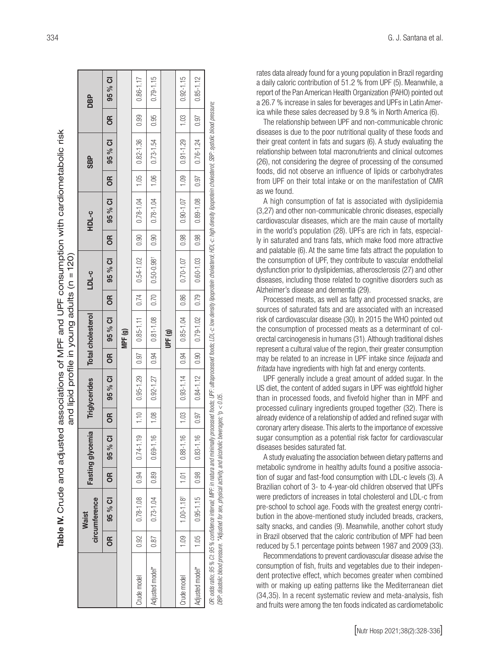|                                                                                                                                                                         |               |                               |                 |                   |                         | and lipid profile in young adults $(n = 120)$ |                                                         |                                                         |      |                                                                                                                                                                                                                                                                                                                                                                                                                                            |      |                      |                 |               |      |               |
|-------------------------------------------------------------------------------------------------------------------------------------------------------------------------|---------------|-------------------------------|-----------------|-------------------|-------------------------|-----------------------------------------------|---------------------------------------------------------|---------------------------------------------------------|------|--------------------------------------------------------------------------------------------------------------------------------------------------------------------------------------------------------------------------------------------------------------------------------------------------------------------------------------------------------------------------------------------------------------------------------------------|------|----------------------|-----------------|---------------|------|---------------|
|                                                                                                                                                                         |               | circumference<br><b>Waist</b> |                 | Fasting glycemia  |                         | Triglycerides                                 |                                                         | <b>Total cholesterol</b>                                |      | LDL-c                                                                                                                                                                                                                                                                                                                                                                                                                                      |      | HDL-c                |                 | <b>SBP</b>    |      | <b>DBP</b>    |
|                                                                                                                                                                         | $\frac{1}{2}$ | 95 % CI                       | 6R              | 95 % Cl           | <b>OR</b>               | 95 % CI                                       | 6                                                       | 95 % CI                                                 | g    | 95 % CI                                                                                                                                                                                                                                                                                                                                                                                                                                    | 6R   | 95 % CI              | OR <sub>1</sub> | 95 % CI       | 6R   | 95 % CI       |
|                                                                                                                                                                         |               |                               |                 |                   |                         |                                               |                                                         | MPF(g)                                                  |      |                                                                                                                                                                                                                                                                                                                                                                                                                                            |      |                      |                 |               |      |               |
| Crude model                                                                                                                                                             | 0.92          | $0.78 - 1.08$                 | 0.94            | 5<br>$0.74 - 1.1$ | 1.10                    | $0.95 - 1.29$                                 | $\begin{array}{ c c } \hline 0.97 \\\hline \end{array}$ | $0.85 - 1.11$ 0.74                                      |      | $0.54 - 1.02$ 0.90                                                                                                                                                                                                                                                                                                                                                                                                                         |      | $0.78 - 1.04$   1.05 |                 | $0.82 - 1.36$ | 0.99 | 0.86-1.17     |
| Adjusted model*                                                                                                                                                         | 0.87          | $0.73 - 1.04$                 | $-89$           | 0.69-1.16         | $\frac{1}{1}$ .08       |                                               |                                                         | $0.50 - 0.50 - 0.50 = 0.50 - 0.50 = 0.50 - 0.50 = 0.50$ |      |                                                                                                                                                                                                                                                                                                                                                                                                                                            | 0.90 | $0.78 - 1.04$   1.06 |                 | $0.73 - 1.54$ | 0.95 | $0.79 - 1.15$ |
|                                                                                                                                                                         |               |                               |                 |                   |                         |                                               |                                                         | UPF (g)                                                 |      |                                                                                                                                                                                                                                                                                                                                                                                                                                            |      |                      |                 |               |      |               |
| Crude model                                                                                                                                                             | $\frac{8}{1}$ | $1.00 - 1.18$ <sup>+</sup>    | $\overline{10}$ | 6<br>$0.88 - 1.1$ | 1.03                    | $0.93 - 1.14$                                 | 0.94                                                    | $0.85 - 1.04$                                           | 0.86 | $0.70 - 1.07$                                                                                                                                                                                                                                                                                                                                                                                                                              | 0.98 | $0.90 - 1.07$        | 1.09            | $0.91 - 1.29$ | 1.03 | $0.92 - 1.15$ |
| Adjusted model*                                                                                                                                                         | 1.05          | $0.95 - 1.15$                 | 0.98            | $0.83 - 1.16$     | 0.97                    | $0.84 - 1.12$   0.90   0.79-1.02   0.79       |                                                         |                                                         |      | $\begin{array}{ c c c c c c c c c } \hline \rule{0pt}{1.2ex}\quad & \text{0.5}\quad & \text{0.5}\quad & \text{0.5}\quad & \text{0.5}\quad & \text{0.5}\quad & \text{0.5}\quad & \text{0.5}\quad & \text{0.5}\quad & \text{0.5}\quad & \text{0.5}\quad & \text{0.5}\quad & \text{0.5}\quad & \text{0.5}\quad & \text{0.5}\quad & \text{0.5}\quad & \text{0.5}\quad & \text{0.5}\quad & \text{0.5}\quad & \text{0.5}\quad & \text{0.5}\quad$ |      |                      |                 |               | 0.97 | $0.85 - 1.12$ |
| DBP; diastolic blood pressure. *Adjusted for sex, physical activity, and alcoholic t<br>OR: odds ratio; 95 % Cl: 95 % confidence interval; MPF: in natura and minimally |               |                               |                 |                   | beverages; $p < 0.05$ . |                                               |                                                         |                                                         |      | r processed foods; UPF: ultraprocessed foods; LDL-c: low density lipoprotein cholesterol; HDL-c: high density lipoprotein cholesterol; SBP: systolic blood pressure;                                                                                                                                                                                                                                                                       |      |                      |                 |               |      |               |

Table IV. Crude and adjusted associations of MPF and UPF consumption with cardiometabolic risk fable IV. Crude and adjusted associations of MPF and UPF consumption with cardiometabolic risk

rates data already found for a young population in Brazil regarding a daily caloric contribution of 51.2 % from UPF (5). Meanwhile, a report of the Pan American Health Organization (PAHO) pointed out a 26.7 % increase in sales for beverages and UPFs in Latin Amer ica while these sales decreased by 9.8 % in North America (6).

The relationship between UPF and non-communicable chronic diseases is due to the poor nutritional quality of these foods and their great content in fats and sugars (6). A study evaluating the relationship between total macronutrients and clinical outcomes (26), not considering the degree of processing of the consumed foods, did not observe an influence of lipids or carbohydrates from UPF on their total intake or on the manifestation of CMR as we found.

A high consumption of fat is associated with dyslipidemia (3,27) and other non-communicable chronic diseases, especially cardiovascular diseases, which are the main cause of mortality in the world's population (28). UPFs are rich in fats, especial ly in saturated and trans fats, which make food more attractive and palatable (6). At the same time fats attract the population to the consumption of UPF, they contribute to vascular endothelial dysfunction prior to dyslipidemias, atherosclerosis (27) and other diseases, including those related to cognitive disorders such as Alzheimer's disease and dementia (29).

Processed meats, as well as fatty and processed snacks, are sources of saturated fats and are associated with an increased risk of cardiovascular disease (30). In 2015 the WHO pointed out the consumption of processed meats as a determinant of col orectal carcinogenesis in humans (31). Although traditional dishes represent a cultural value of the region, their greater consumption may be related to an increase in UPF intake since *feijoada* and *fritada* have ingredients with high fat and energy contents.

UPF generally include a great amount of added sugar. In the US diet, the content of added sugars in UPF was eightfold higher than in processed foods, and fivefold higher than in MPF and processed culinary ingredients grouped together (32). There is already evidence of a relationship of added and refined sugar with coronary artery disease. This alerts to the importance of excessive sugar consumption as a potential risk factor for cardiovascular diseases besides saturated fat.

A study evaluating the association between dietary patterns and metabolic syndrome in healthy adults found a positive associa tion of sugar and fast-food consumption with LDL-c levels (3). A Brazilian cohort of 3- to 4-year-old children observed that UPFs were predictors of increases in total cholesterol and LDL-c from pre-school to school age. Foods with the greatest energy contri bution in the above-mentioned study included breads, crackers, salty snacks, and candies (9). Meanwhile, another cohort study in Brazil observed that the caloric contribution of MPF had been reduced by 5.1 percentage points between 1987 and 2009 (33).

Recommendations to prevent cardiovascular disease advise the consumption of fish, fruits and vegetables due to their indepen dent protective effect, which becomes greater when combined with or making up eating patterns like the Mediterranean diet (34,35). In a recent systematic review and meta-analysis, fish and fruits were among the ten foods indicated as cardiometabolic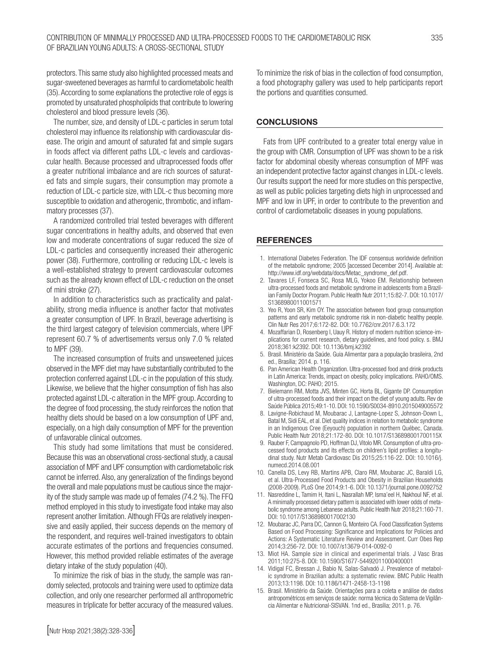protectors. This same study also highlighted processed meats and sugar-sweetened beverages as harmful to cardiometabolic health (35). According to some explanations the protective role of eggs is promoted by unsaturated phospholipids that contribute to lowering cholesterol and blood pressure levels (36).

The number, size, and density of LDL-c particles in serum total cholesterol may influence its relationship with cardiovascular disease. The origin and amount of saturated fat and simple sugars in foods affect via different paths LDL-c levels and cardiovascular health. Because processed and ultraprocessed foods offer a greater nutritional imbalance and are rich sources of saturated fats and simple sugars, their consumption may promote a reduction of LDL-c particle size, with LDL-c thus becoming more susceptible to oxidation and atherogenic, thrombotic, and inflammatory processes (37).

A randomized controlled trial tested beverages with different sugar concentrations in healthy adults, and observed that even low and moderate concentrations of sugar reduced the size of LDL-c particles and consequently increased their atherogenic power (38). Furthermore, controlling or reducing LDL-c levels is a well-established strategy to prevent cardiovascular outcomes such as the already known effect of LDL-c reduction on the onset of mini stroke (27).

In addition to characteristics such as practicality and palatability, strong media influence is another factor that motivates a greater consumption of UPF. In Brazil, beverage advertising is the third largest category of television commercials, where UPF represent 60.7 % of advertisements versus only 7.0 % related to MPF (39).

The increased consumption of fruits and unsweetened juices observed in the MPF diet may have substantially contributed to the protection conferred against LDL-c in the population of this study. Likewise, we believe that the higher consumption of fish has also protected against LDL-c alteration in the MPF group. According to the degree of food processing, the study reinforces the notion that healthy diets should be based on a low consumption of UPF and, especially, on a high daily consumption of MPF for the prevention of unfavorable clinical outcomes.

This study had some limitations that must be considered. Because this was an observational cross-sectional study, a causal association of MPF and UPF consumption with cardiometabolic risk cannot be inferred. Also, any generalization of the findings beyond the overall and male populations must be cautious since the majority of the study sample was made up of females (74.2 %). The FFQ method employed in this study to investigate food intake may also represent another limitation. Although FFQs are relatively inexpensive and easily applied, their success depends on the memory of the respondent, and requires well-trained investigators to obtain accurate estimates of the portions and frequencies consumed. However, this method provided reliable estimates of the average dietary intake of the study population (40).

To minimize the risk of bias in the study, the sample was randomly selected, protocols and training were used to optimize data collection, and only one researcher performed all anthropometric measures in triplicate for better accuracy of the measured values. To minimize the risk of bias in the collection of food consumption, a food photography gallery was used to help participants report the portions and quantities consumed.

#### **CONCLUSIONS**

Fats from UPF contributed to a greater total energy value in the group with CMR. Consumption of UPF was shown to be a risk factor for abdominal obesity whereas consumption of MPF was an independent protective factor against changes in LDL-c levels. Our results support the need for more studies on this perspective, as well as public policies targeting diets high in unprocessed and MPF and low in UPF, in order to contribute to the prevention and control of cardiometabolic diseases in young populations.

## **REFERENCES**

- 1. International Diabetes Federation. The IDF consensus worldwide definition of the metabolic syndrome; 2005 [accessed December 2014]. Available at: http://www.idf.org/webdata/docs/Metac\_syndrome\_def.pdf.
- 2. Tavares LF, Fonseca SC, Rosa MLG, Yokoo EM. Relationship between ultra-processed foods and metabolic syndrome in adolescents from a Brazilian Family Doctor Program. Public Health Nutr 2011;15:82-7. DOI: 10.1017/ S1368980011001571
- 3. Yeo R, Yoon SR, Kim OY. The association between food group consumption patterns and early metabolic syndrome risk in non-diabetic healthy people. Clin Nutr Res 2017;6:172-82. DOI: 10.7762/cnr.2017.6.3.172
- 4. Mozaffarian D, Rosenberg I, Uauy R. History of modern nutrition science-implications for current research, dietary guidelines, and food policy. s. BMJ 2018;361:k2392. DOI: 10.1136/bmj.k2392
- 5. Brasil. Ministério da Saúde. Guia Alimentar para a população brasileira, 2nd ed., Brasília; 2014. p. 116.
- 6. Pan American Health Organization. Ultra-processed food and drink products in Latin America: Trends, impact on obesity, policy implications. PAHO/OMS. Washington, DC: PAHO; 2015.
- 7. Bielemann RM, Motta JVS, Minten GC, Horta BL, Gigante DP. Consumption of ultra-processed foods and their impact on the diet of young adults. Rev de Saúde Pública 2015;49:1-10. DOI: 10.1590/S0034-8910.2015049005572
- 8. Lavigne-Robichaud M, Moubarac J, Lantagne-Lopez S, Johnson-Down L, Batal M, Sidi EAL, et al. Diet quality indices in relation to metabolic syndrome in an Indigenous Cree (Eeyouch) population in northern Québec, Canada. Public Health Nutr 2018;21:172-80. DOI: 10.1017/S136898001700115X
- 9. Rauber F, Campagnolo PD, Hoffman DJ, Vitolo MR. Consumption of ultra-processed food products and its effects on children's lipid profiles: a longitudinal study. Nutr Metab Cardiovasc Dis 2015;25:116-22. DOI: 10.1016/j. numecd.2014.08.001
- 10. Canella DS, Levy RB, Martins APB, Claro RM, Moubarac JC, Baraldi LG, et al. Ultra-Processed Food Products and Obesity in Brazilian Households (2008-2009). PLoS One 2014;9:1-6. DOI: 10.1371/journal.pone.0092752
- 11. Nasreddine L, Tamim H, Itani L, Nasrallah MP, Isma'eel H, Nakhoul NF, et al. A minimally processed dietary pattern is associated with lower odds of metabolic syndrome among Lebanese adults. Public Health Nutr 2018;21:160-71. DOI: 10.1017/S1368980017002130
- 12. Moubarac JC, Parra DC, Cannon G, Monteiro CA. Food Classification Systems Based on Food Processing: Significance and Implications for Policies and Actions: A Systematic Literature Review and Assessment. Curr Obes Rep 2014;3:256-72. DOI: 10.1007/s13679-014-0092-0
- 13. Miot HA. Sample size in clinical and experimental trials. J Vasc Bras 2011;10:275-8. DOI: 10.1590/S1677-54492011000400001
- 14. Vidigal FC, Bressan J, Babio N, Salas-Salvadó J. Prevalence of metabolic syndrome in Brazilian adults: a systematic review. BMC Public Health 2013;13:1198. DOI: 10.1186/1471-2458-13-1198
- 15. Brasil. Ministério da Saúde. Orientações para a coleta e análise de dados antropométricos em serviços de saúde: norma técnica do Sistema de Vigilância Alimentar e Nutricional-SISVAN. 1nd ed., Brasília; 2011. p. 76.